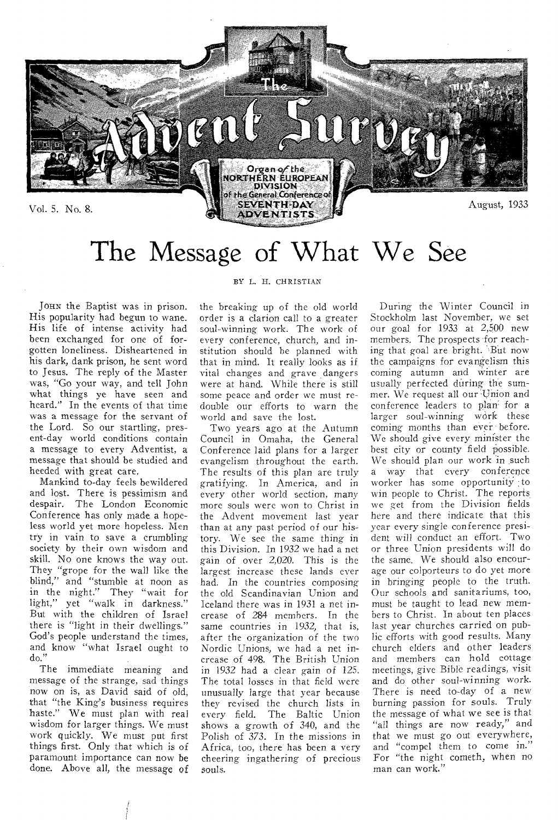

# The Message of What We See

JOHN the Baptist was in prison. His popularity had begun to wane. His life of intense activity had been exchanged for one of forgotten loneliness. Disheartened in his dark, dank prison, he sent word to Jesus. The reply of the Master was, "Go your way, and tell John what things ye have seen and heard." In the events of that time was a message for the servant of the Lord. So our startling, present-day world conditions contain a message to every Adventist, a message that should be studied and heeded with great care.

Mankind to-day feels bewildered and lost. There is pessimism and despair. The London Economic Conference has only made a hopeless world yet more hopeless. Men try in vain to save a crumbling society by their own wisdom and skill. No one knows the way out. They "grope for the wall like the blind," and "stumble at noon as in the night." They "wait for light," yet "walk in darkness." But with the children of Israel there is "light in their dwellings." God's people understand the times, and know "what Israel ought to do."

The immediate meaning and message of the strange, sad things now on is, as David said of old, that "the King's business requires haste." We must plan with real wisdom for larger things. We must work quickly. We must put first things first. Only that which is of paramount importance can now be done. Above all, the message of

#### BY L. H. CHRISTIAN

the breaking up of the old world order is a clarion call to a greater soul-winning work. The work of every conference, church, and institution should be planned with that in mind. It really looks as if vital changes and grave dangers were at hand. While there is still some peace and order we must redouble our efforts to warn the world and save the lost.

Two years ago at the Autumn Council in Omaha, the General Conference laid plans for a larger evangelism throughout the earth. The results of this plan are truly gratifying. In America, and in every other world section, many more souls were won to Christ in the Advent movement last year than at any past period of our history. We see the same thing in this Division. In 1932 we had a net gain of over 2,020. This is the largest increase these lands ever had. In the countries composing the old Scandinavian Union and Iceland there was in 1931 a net increase of 284 members. In the same countries in 1932, that is, after the organization of the two Nordic Unions, we had a net increase of 498. The British Union in 1932 had a clear gain of 125. The total losses in that field were unusually large that year because they revised the church lists in<br>every field. The Baltic Union The Baltic Union shows a growth of 340, and the Polish of 373. In the missions in Africa, too, there has been a very cheering ingathering-of precious souls.

During the Winter Council in Stockholm last November, we set our goal for 1933 at 2,500 new members. The prospects for reaching that goal are bright. But now the campaigns for evangelism this coming autumn and Winter are usually perfected during the summer. We request all our Union and conference leaders to plan' for a larger soul-winning work these coming months than ever before. We should give every minister the best city or county field possible. We should plan our work in such a way that every conference worker has some opportunity to win people to Christ. The reports we get from the Division fields here and there indicate that this year every single conference president will conduct an effort. Two or three Union presidents will do the same. We should also encourage our colporteurs to do yet more in bringing people to the truth. Our schools and sanitariums, too, must he taught to lead new members to Christ. In about ten places last year churches carried on public efforts with good results. Many church elders and other leaders and members can hold cottage meetings, give Bible readings, visit and do other soul-winning work. There is need to-day of a new burning passion for souls. Truly the message of what we see is that "all things are now ready," and that we must go out everywhere, and "compel them to come in." For "the night cometh, when no man can work."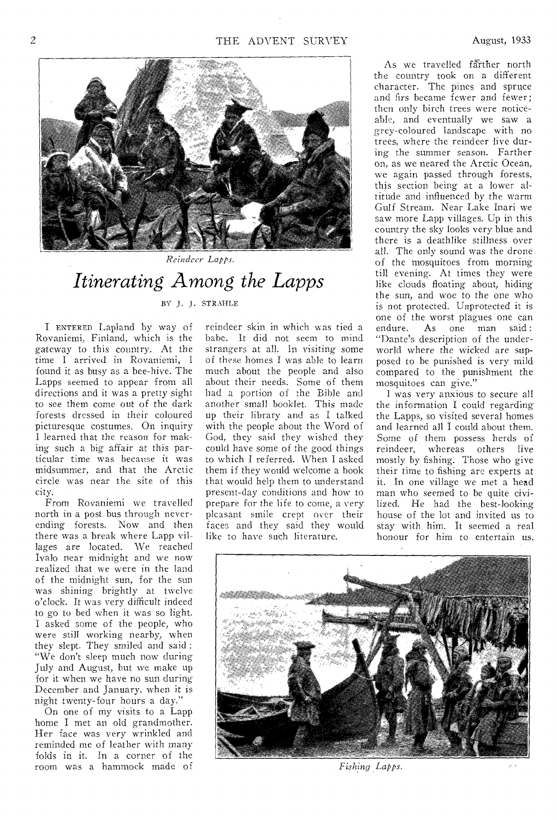

 $Reinder$  *Lapps.* 

## *Itinerating Among the Lapps*

BY J. J. STRANLE

I ENTERED Lapland by way of Rovaniemi, Finland, which is the gateway to this country. At the time I arrived in Rovaniemi, I found it as busy as a bee-hive. The Lapps seemed to appear from all directions and it was a pretty sight to see them come out of the dark forests dressed in their coloured picturesque costumes. On inquiry I learned that the reason for making such a big affair at this particular time was because it was midsummer, and that the Arctic circle was near the site of this city.

From Rovaniemi we travelled north in a post bus through neverending forests. Now and then there was a break where Lapp villages are located. We reached Ivalo near midnight and we now realized that we were in the land of the midnight sun, for the sun was shining brightly at twelve o'clock. It was very difficult indeed to go to bed when it was so light. I asked some of the people, who were still working nearby, when they slept. They smiled and said : "We don't sleep much now during July and August, but we make up for it when we have no sun during December and January, when it is night twenty-four hours a day."

On one of my visits to a Lapp home I met an old grandmother. Her face was very wrinkled and reminded me of leather with many folds in it. In a corner of the room was a hammock made of reindeer skin in which was tied a babe. It did not seem to mind strangers at all. In visiting some of these homes I was able to learn much about the people and also about their needs. Some of them had a portion of the Bible and another small booklet. This made up their library and as I talked with the people about the Word of God, they said they wished they could have some of the good things to which I referred. When I asked them if they would welcome a book that would help them to understand present-day conditions and how to prepare for the life to come, a very pleasant smile crept over their faces and they said they would like to have such literature.

As we travelled farther north the country took on a different character. The pines and spruce and firs became fewer and fewer; then only birch trees were noticeable, and eventually we saw a grey-coloured landscape with no trees, where the reindeer live during the summer season. Farther on, as we neared the Arctic Ocean, we again passed through forests, this section being at a lower altitude and influenced by the warm Gulf Stream. Near Lake Inari we saw more Lapp villages. Up in this country the sky looks very blue and there is a deathlike stillness over all. The only sound was the drone of the mosquitoes from morning till evening. At times they were like clouds floating about, hiding the sun, and woe to the one who is not protected. Unprotected it is one of the worst plagues one can endure. As one man said : "Dante's description of the underworld where the wicked are supposed to be punished is very mild compared to the punishment the mosquitoes can give."

I was very anxious to secure all the information I could regarding the Lapps, so visited several homes and learned all I could about them. Some of them possess herds of reindeer, whereas others live mostly by fishing. Those who give their time to fishing are experts at it. In one village we met a head man who seemed to be quite civilized. He had the best-looking house of the lot and invited us to stay with him. It seemed a real honour for him to entertain us.



*Fishing Lapps.*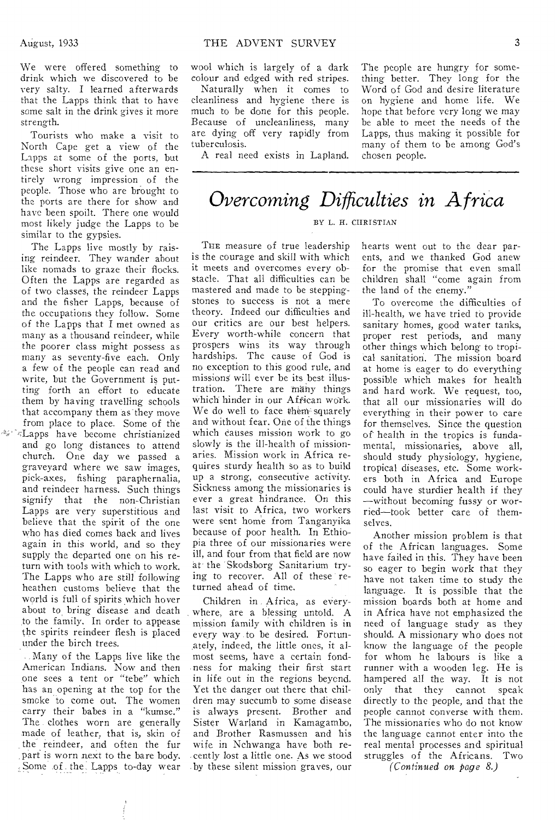We were offered something to drink which we discovered to be very salty. I learned afterwards that the Lapps think that to have some salt in the drink gives it more strength.

Tourists who make a visit to North Cape get a view of the Lapps at some of the ports, but these short visits give one an entirely wrong impression of the people. Those who are brought to the ports are there for show and have been spoilt. There one would most likely judge the Lapps to be similar to the gypsies.

The Lapps live mostly by raising reindeer. They wander about like nomads to graze their flocks. Often the Lapps are regarded as of two classes, the reindeer Lapps and the fisher Lapps, because of the occupations they follow. Some of the Lapps that I met owned as many as a thousand reindeer, while the poorer class might possess as many as seventy-five each. Only a few of the people can read and write, but the Government is putting forth an effort to educate them by having travelling schools that accompany them as they move from place to place. Some of the  $\sqrt{2}/\sqrt{2}$ Lapps have become christianized and go long distances to attend church. One day we passed a graveyard where we saw images, pick-axes, fishing paraphernalia, and reindeer harness. Such things signify that the non-Christian Lapps are very superstitious and believe that the spirit of the one who has died comes back and lives again in this world, and so they supply the departed one on his return with tools with which to work. The Lapps who are still following heathen customs believe that the world is full of spirits which hover about to bring disease and death to the family. In order to appease the spirits reindeer flesh is placed under the birch trees.

Many of the Lapps live like the American Indians. Now and then one sees a tent or "tebe" which has an opening at the top for the smoke to come out. The women carry their babes in a "kumse." The clothes worn are generally made of leather, that is, skin of \_ the reindeer, and often the fur part is worn next to the bare body. Some of the\_ Lapps to-day wear

wool which is largely of a dark colour and edged with red stripes.

Naturally when it comes to cleanliness and hygiene there is much to he done for this people. Because of uncleanliness, many are dying off very rapidly from tuberculosis.

A real need exists in Lapland.

The people are hungry for something better. They long for the Word of God and desire literature on hygiene and home life. We hope that before very long we may be able to meet the needs of the Lapps, thus making it possible for many of them to be among God's chosen people.

*Overcoming Difficulties in Africa* 

#### BY L. H. CHRISTIAN

THE measure of true leadership is the courage and skill with which it meets and overcomes every obstacle. That all difficulties can be mastered and made to be steppingstones to success is not a mere theory. Indeed our difficulties and our critics are our best helpers. Every worth-while concern that prospers wins its way through hardships. The cause of God is no exception to this good rule, and missions will ever be its best illustration. There are many things which hinder in our Affican work. We do well to face them squarely and without fear. One of the things which causes mission work to go slowly is the ill-health of missionaries. Mission work in Africa requires sturdy health so as to build up a strong, consecutive activity. Sickness among the missionaries is ever a great hindrance. On this last visit to Africa, two workers were sent home from Tanganyika because of poor health. In Ethiopia three of our missionaries were ill, and four from that field are now at the Skodsborg Sanitarium trying to recover. All of these returned ahead of time.

Children in Africa, as everywhere, are a blessing untold. A mission family with children is in every way to be desired. Fortunately, indeed, the little ones, it almost seems, have a certain fondness for making their first start in life out in the regions beyond. Yet the danger out there that children may succumb to some disease is always present. Brother and Sister Warland in Kamagambo, and Brother Rasmussen and his wife in Nchwanga have both recently lost a little one. As we stood by these silent mission graves, our

hearts went out to the dear parents, and we thanked God anew for the promise that even small children shall "come again from the land of the enemy."

To overcome the difficulties of ill-health, we have tried to provide sanitary homes, good water tanks, proper rest periods, and many other things which belong to tropical sanitation. The mission board at home is eager to do everything possible which makes for health and hard work. We request, too, that all our missionaries will do everything in their power to care for themselves. Since the question of health in the tropics is fundamental, missionaries, above all, should study physiology, hygiene, tropical diseases, etc. Some workers both in Africa and Europe could have sturdier health if they —without becoming fussy or worried—took better care of themselves.

Another mission problem is that of the African languages. Some have failed in this. They have been so eager to begin work that they have not taken time to study the language. It is possible that the mission boards both at home and in Africa have not emphasized the need of language study as they should. A missionary who does not know the language of the people for whom he labours is like a runner with a wooden leg. He is hampered all the way. It is not only that they cannot speak directly to the people, and that the people cannot converse with them. The missionaries who do not know the language cannot enter into the real mental processes and spiritual struggles of the Africans. Two

*(Continued on page 8.)*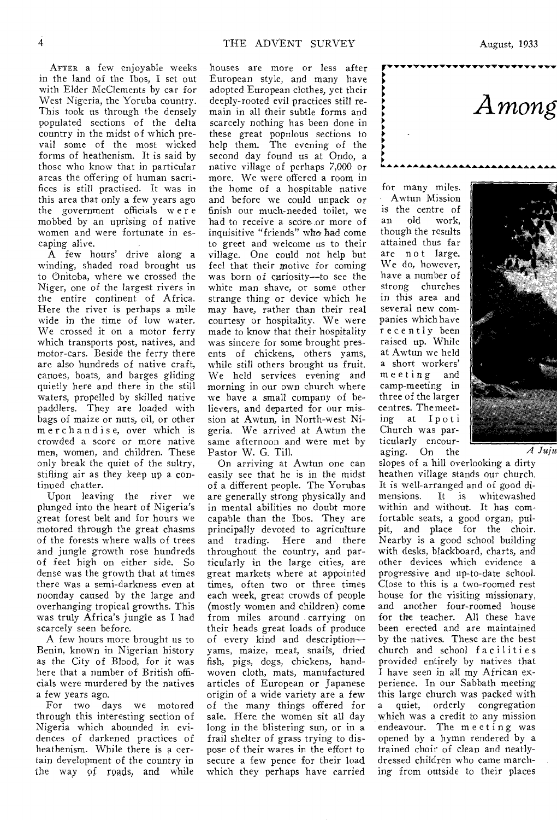AFTER a few enjoyable weeks in the land of the Ibos, I set out with Elder McClements by car for West Nigeria, the Yoruba country. This took us through the densely populated sections of the delta country in the midst of which prevail some of the most wicked forms of heathenism. It is said by those who know that in particular areas the offering of human sacrifices is still practised. It was in this area that only a few years ago the government officials were mobbed by an uprising of native women and were fortunate in escaping alive.

A few hours' drive along a winding, shaded road brought us to Onitoba, where we crossed the Niger, one of the largest rivers in the entire continent of Africa. Here the river is perhaps a mile wide in the time of low water. We crossed it on a motor ferry which transports post, natives, and motor-cars. Beside the ferry there are also hundreds of native craft, canoes, boats, and barges gliding quietly here and there in the still waters, propelled by skilled native paddlers. They are loaded with bags of maize or nuts, oil, or other merchandise, over which is crowded a score or more native men, women, and children. These only break the quiet of the sultry, stifling air as they keep up a continued chatter.

Upon leaving the river we plunged into the heart of Nigeria's great forest belt and for hours we motored through the great chasms of the forests where walls of trees and jungle growth rose hundreds of feet high on either side. So dense was the growth that at times there was a semi-darkness even at noonday caused by the large and overhanging tropical growths. This was truly Africa's jungle as I had scarcely seen before.

A few hours more brought us to Benin, known in Nigerian history as the City of Blood, for it was here that a number of British officials were murdered by the natives a few years ago.

For two days we motored through this interesting section of Nigeria which abounded in evidences of darkened practices of heathenism. While there is a certain development of the country in the way of roads, and while

houses are more or less after European style, and many have adopted European clothes, yet their deeply-rooted evil practices still remain in all their subtle forms and scarcely nothing has been done in these great populous sections to help them. The evening of the second day found us at Ondo, a native village of perhaps 7,000 or more. We were offered a room in the home of a hospitable native and before we could unpack or finish our much-needed toilet, we had to receive a score or more of inquisitive "friends" wha had come to greet and welcome us to their village. One could not help but feel that their motive for coming was born of curiosity—to see the white man shave, or some other strange thing or device which he may have, rather than their real courtesy or hospitality. We were made to know that their hospitality was sincere for some brought presents of chickens, others yams, while still others brought us fruit. We held services evening and morning in our own church where we have a small company of believers, and departed for our mission at Awtun, in North-west Nigeria. We arrived at Awtun the same afternoon and were met by Pastor W. G. Till.

On arriving at Awtun one can easily see that he is in the midst of a different people. The Yorubas are generally strong physically and in mental abilities no doubt more capable than the Ibos. They are principally devoted to agriculture and trading. Here and there throughout the country, and particularly in the large cities, are great markets where at appointed times, often two or three times each week, great crowds of people (mostly women and children) come from miles around carrying on their heads great loads of produce of every kind and description yams, maize, meat, snails, dried fish, pigs, dogs, chickens, handwoven cloth, mats, manufactured articles of European or Japanese origin of a wide variety are a few of the many things offered for sale. Here the women sit all day long in the blistering sun, or in a frail shelter of grass trying to dispose of their wares in the effort to secure a few pence for their load which they perhaps have carried

for many miles. Awtun Mission is the centre of<br>an old work. an old work, though the results attained thus far are not large. We do, however, have a number of strong churches in this area and several new companies which have recently been raised up. While at Awtun we held a short workers' meeting and camp-meeting in three of the larger centres. The meeting at Ipoti Church was particularly encour-

►

►

aging. On the *A Juju* slopes of a hill overlooking a dirty heathen village stands our church. It is well-arranged and of good dimensions. It is whitewashed within and without. It has comfortable seats, a good organ, pulpit, and place for the choir. Nearby is a good school building with desks, blackboard, charts, and other devices which evidence a progressive and up-to-date school. Close to this is a two-roomed rest house for the visiting missionary, and another four-roomed house for the teacher. All these have been erected and are maintained by the natives. These are the best church and school facilities provided entirely by natives that I have seen in all my African experience. In our Sabbath meeting this large church was packed with a quiet, orderly congregation which was a credit to any mission endeavour. The meeting was opened by a hymn rendered by a trained choir of clean and neatlydressed children who came marching from outside to their places



Among

**...**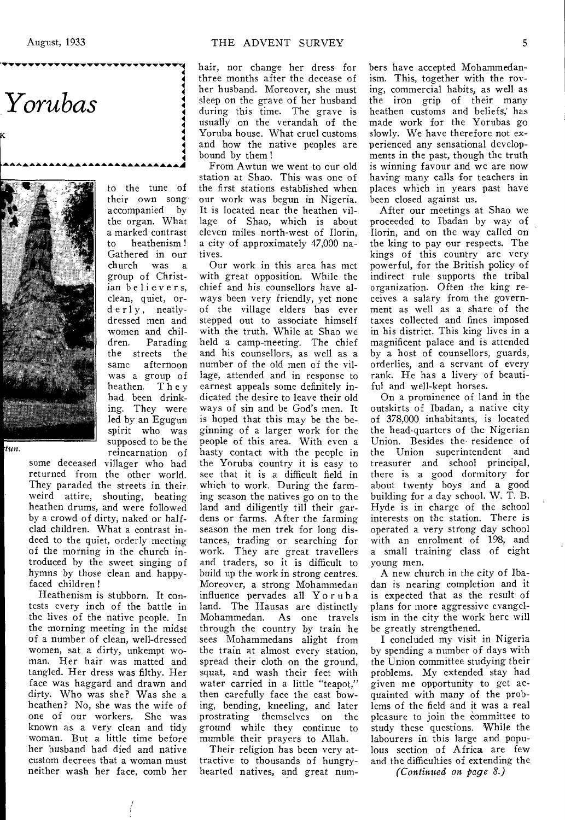# *Yorubas*

K



supposed to be the tun. reincarnation of some deceased villager who had returned from the other world. They paraded the streets in their weird attire, shouting, beating heathen drums, and were followed by a crowd of dirty, naked or halfclad children. What a contrast indeed to the quiet, orderly meeting of the morning in the church introduced by the sweet singing of

hymns by those clean and happy-

faced children ! Heathenism is stubborn. It contests every inch of the battle in the lives of the native people. In the morning meeting in the midst of a number of clean, well-dressed women, sat a dirty, unkempt woman. Her hair was matted and tangled. Her dress was filthy. Her face was haggard and drawn and dirty. Who was she? Was she a heathen? No, she was the wife of one of our workers. She was known as a very clean and tidy woman. But a little time before her husband had died and native custom decrees that a woman must neither wash her face, comb her

to the tune of their own song accompanied by the organ. What a marked contrast to heathenism ! Gathered in our<br>church was a was a

group of Christian believers, clean, quiet, orderly, neatlydressed men and women and chil-<br>dren. Parading Parading the streets the same afternoon was a group of heathen. They had been drinking. They were led by an Egugun spirit who was hair, nor change her dress for three months after the decease of her husband. Moreover, she must sleep on the grave of her husband during this time. The grave is usually on the verandah of the Yoruba house. What cruel customs and how the native peoples are bound by them !

From Awtun we went to our old station at Shao. This was one of the first stations established when our work was begun in Nigeria. It is located near the heathen village of Shao, which is about eleven miles north-west of Ilorin, a city of approximately 47,000 natives.

Our work in this area has met with great opposition. While the chief and his counsellors have always been very friendly, yet none of the village elders has ever stepped out to associate himself with the truth. While at Shao we held a camp-meeting. The chief and his counsellors, as well as a number of the old men of the village, attended and in response to earnest appeals some definitely indicated the desire to leave their old ways of sin and be God's men. It is hoped that this may be the beginning of a larger work for the people of this area. With even a hasty contact with the people in the Yoruba country it is easy to see that it is a difficult field in which to work. During the farming season the natives go on to the land and diligently till their gardens or farms. After the farming season the men trek for long distances, trading or searching for work. They are great travellers and traders, so it is difficult to build up the work in strong centres. Moreover, a strong Mohammedan influence pervades all Yoruba land. The Hausas are distinctly Mohammedan. As one travels through the country by train he sees Mohammedans alight from the train at almost every station, spread their cloth on the ground, squat, and wash their feet with water carried in a little "teapot." then carefully face the east bowing, bending, kneeling, and later prostrating themselves on the ground while they continue to mumble their prayers to Allah.

Their religion has been very attractive to thousands of hungryhearted natives, and great numbers have accepted Mohammedanism. This, together with the roving, commercial habits, as well as the iron grip of their many heathen customs and beliefs; has made work for the Yorubas go slowly. We have therefore not experienced any sensational developments in the past, though the truth is winning favour and we are now having many calls for teachers in places which in years past have been closed against us.

After our meetings at Shao we proceeded to Ibadan by way of Ilorin, and on the way called on the king to pay our respects. The kings of this country are very powerful, for the British policy of indirect rule supports the tribal organization. Often the *king* receives a salary from the government as well as a share of the taxes collected and fines imposed in his district. This king lives in a magnificent palace and is attended by a host of counsellors, guards, orderlies, and a servant of every rank. He has a livery of beautiful and well-kept horses.

On a prominence of land in the outskirts of Ibadan, a native city of 378,000 inhabitants, is located the head-quarters of the Nigerian Union. Besides the residence of the Union superintendent and treasurer and school principal, there is a good dormitory for about twenty boys and a good building for a day school. W. T. B. Hyde is in charge of the school interests on the station. There is operated a very strong day school with an enrolment of 198, and a small training class of eight young men.

A new church in the city of Ibadan is nearing completion and it is expected that as the result of plans for more aggressive evangelism in the city the work here will be greatly strengthened.

I concluded my visit in Nigeria by spending a number of days with the Union committee studying their problems. My extended stay had given me opportunity to get acquainted with many of the problems of the field and it was a real pleasure to join the committee to study these questions. While the labourers in this large and populous section of Africa are few and the difficulties of extending the

*(Continued on page 8.)*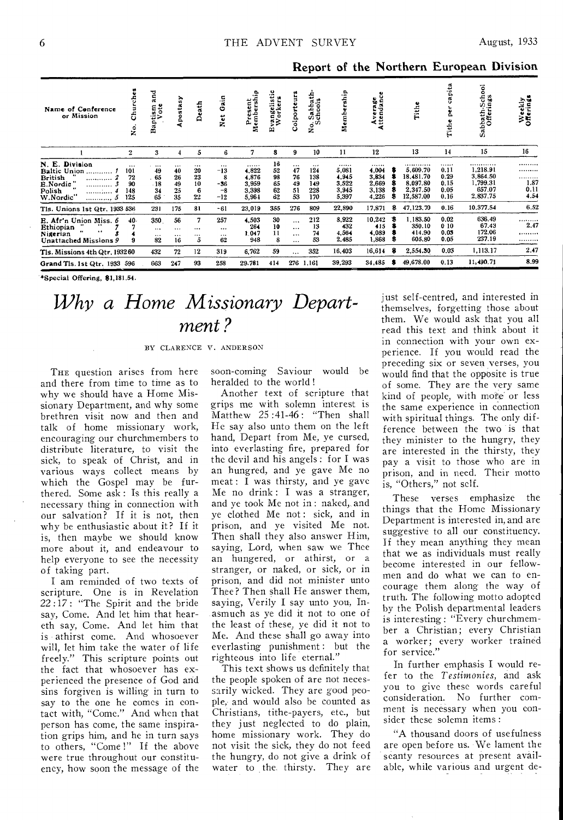|  |  |  |  | Report of the Northern European Division |  |
|--|--|--|--|------------------------------------------|--|
|--|--|--|--|------------------------------------------|--|

| Name of Conference<br>or Mission                                                                                  | rche<br>ర్<br>å                           | and<br>öte<br>tism<br>Vote<br>c.<br>ã     | postasy<br>٠                           | Death                         | ្ទុ<br>o<br>ž                                    | ۹.<br>eres<br>Cita<br>ρ<br>Σ                  | Φ<br>ö.<br>vangeli:<br>Worker<br>ω | Colporteur                             | Sabbath-<br>chools<br>$e^{i\hat{V}}$<br>z | Membership                                    | Average<br>Attendance                         |        | Tithe                                                           | pita<br>៵<br>н                           | Sabbath-School<br>Offerings                                | Weekly<br>Offerings               |
|-------------------------------------------------------------------------------------------------------------------|-------------------------------------------|-------------------------------------------|----------------------------------------|-------------------------------|--------------------------------------------------|-----------------------------------------------|------------------------------------|----------------------------------------|-------------------------------------------|-----------------------------------------------|-----------------------------------------------|--------|-----------------------------------------------------------------|------------------------------------------|------------------------------------------------------------|-----------------------------------|
|                                                                                                                   | $\mathbf{2}$                              | 3                                         |                                        | 5                             | 6.                                               | 7                                             | 8                                  | 9                                      | 10                                        | 11                                            | 12                                            |        | 13                                                              | 14                                       | 15                                                         | 16                                |
| N. E.<br><b>Division</b><br>Baltic Union<br>British<br>E.Nordie "<br>Polish<br><br><br><br>W.Nordic"<br>5<br>     | $\cdots$<br>101<br>72<br>90<br>148<br>125 | $\cdots$<br>49<br>. 65<br>.18<br>34<br>65 | $\cdots$<br>40<br>26<br>49<br>25<br>35 | <br>20<br>23<br>10<br>6<br>22 | $\cdots$<br>$-13$<br>8<br>$-36$<br>$-8$<br>$-12$ | <br>4,822<br>4.876<br>3,959<br>3,398<br>5,964 | 16<br>52<br>98<br>65<br>62<br>62   | $\cdots$<br>47<br>76<br>49<br>51<br>53 | <br>124<br>138<br>149<br>228<br>170       | <br>5,081<br>4.945<br>3,522<br>3,945<br>5,397 | <br>4.004<br>3,834<br>2,669<br>3,138<br>4,226 | я      | .<br>5.609.70<br>18.481.70<br>8,097.80<br>2,347.50<br>12,587.00 | <br>0.11<br>0.29<br>0.15<br>0.05<br>0.16 | <br>1,218.91<br>3,864.50<br>1,799.31<br>657.07<br>2,837.75 | .<br><br><br>1.87<br>0.11<br>4.54 |
| Tls. Unions 1st Qtr. 1933 536                                                                                     |                                           | 231                                       | 175                                    | 81                            | -61                                              | 23,019                                        | 355                                | 276                                    | 809                                       | 22,890                                        | 17,871                                        | 8      | 47,123.70                                                       | 0.16                                     | 10.377.54                                                  | 6.52                              |
| E. Afr'n Union Miss. 6<br>Ethiopian<br>$\leftrightarrow$<br>$\bullet\bullet$<br>Nigerian<br>Unattached Missions 9 | 40.                                       | 350<br>$\cdots$<br>$\cdots$<br>82         | 56<br>$\cdots$<br>$\cdots$<br>16       | 7<br>$\cdots$<br><br>5        | 257<br>$\cdots$<br>$\cdots$<br>62                | 4,503<br>264<br>1.047<br>948                  | 30<br>10<br>11<br>8                | .<br>$\cdots$<br>$\cdots$<br>$\cdots$  | 212<br>13<br>74<br>53                     | 8,922<br>432<br>4,564<br>2,485                | 10.242<br>415<br>4.089<br>1,868               | 3<br>З | 1,183.50<br>350.10<br>414.90<br>605.80                          | 0.02<br>010<br>0.05<br>0.05              | 636.49<br>67,43<br>172.06<br>237.19                        | <br>2.47<br><br>                  |
| Tls. Missions 4th Qtr. 1932 60                                                                                    |                                           | 432                                       | 72                                     | 12                            | 319                                              | 6.762                                         | 59                                 | $\cdots$                               | 352                                       | 16,403                                        | 16,614                                        | 8      | 2,554.30                                                        | 0.03                                     | 1,113.17                                                   | 2.47                              |
| Grand Tls. 1st Qtr. 1933 596                                                                                      |                                           | 663                                       | 247                                    | 93                            | 258                                              | 29.781                                        | 414                                | 276                                    | 1.161                                     | 39,293                                        | 34.485                                        | -8     | 49,678.00                                                       | 0.13                                     | 11,490.71                                                  | 8.99                              |

\*Special Offering, \$1,181.54.

## Why a Home Missionary Department?

BY CLARENCE V. ANDERSON

THE question arises from here and there from time to time as to why we should have a Home Missionary Department, and why some brethren visit now and then and talk of home missionary work, encouraging our churchmembers to distribute literature, to visit the sick, to speak of Christ, and in various ways collect means by which the Gospel may be furthered. Some ask: Is this really a necessary thing in connection with our salvation? If it is not, then why be enthusiastic about it? If it is, then maybe we should know more about it, and endeavour to help everyone to see the necessity of taking part.

I am reminded of two texts of scripture. One is in Revelation 22:17: "The Spirit and the bride say, Come. And let him that heareth say, Come. And let him that is athirst come. And whosoever will, let him take the water of life freely." This scripture points out the fact that whosoever has experienced the presence of God and sins forgiven is willing in turn to say to the one he comes in contact with, "Come." And when that person has come, the same inspiration grips him, and he in turn says to others, "Come!" If the above were true throughout our constituency, how soon the message of the

soon-coming Saviour would be heralded to the world!

Another text of scripture that grips me with solemn interest is Matthew 25:41-46: "Then shall He say also unto them on the left hand, Depart from Me, ye cursed, into everlasting fire, prepared for the devil and his angels: for I was an hungred, and ye gave Me no meat : I was thirsty, and ye gave Me no drink: I was a stranger, and ye took Me not in: naked, and ye clothed Me not: sick, and in prison, and ye visited Me not. Then shall they also answer Him, saying, Lord, when saw we Thee an hungered, or athirst, or a stranger, or naked, or sick, or in prison, and did not minister unto Thee? Then shall He answer them, saying, Verily I say unto you, Inasmuch as ye did it not to one of the least of these, ye did it not to Me. And these shall go away into everlasting punishment: but the righteous into life eternal."

This text shows us definitely that the people spoken of are not necessarily wicked. They are good people, and would also be counted as Christians, tithe-payers, etc., but they just neglected to do plain, home missionary work. They do not visit the sick, they do not feed the hungry, do not give a drink of water to the thirsty. They are just self-centred, and interested in themselves, forgetting those about them. We would ask that you all read this text and think about it in connection with your own experience. If you would read the preceding six or seven verses, you would find that the opposite is true of some. They are the very same kind of people, with more or less the same experience in connection with spiritual things. The only difference between the two is that they minister to the hungry, they are interested in the thirsty, they pay a visit to those who are in prison, and in need. Their motto is, "Others," not self.

These verses emphasize the things that the Home Missionary Department is interested in, and are suggestive to all our constituency. If they mean anything they mean that we as individuals must really become interested in our fellowmen and do what we can to encourage them along the way of truth. The following motto adopted by the Polish departmental leaders is interesting: "Every churchmember a Christian; every Christian a worker; every worker trained<br>for service."

In further emphasis I would refer to the Testimonies, and ask you to give these words careful consideration. No further comment is necessary when you consider these solemn items:

"A thousand doors of usefulness are open before us. We lament the scanty resources at present available, while various and urgent de-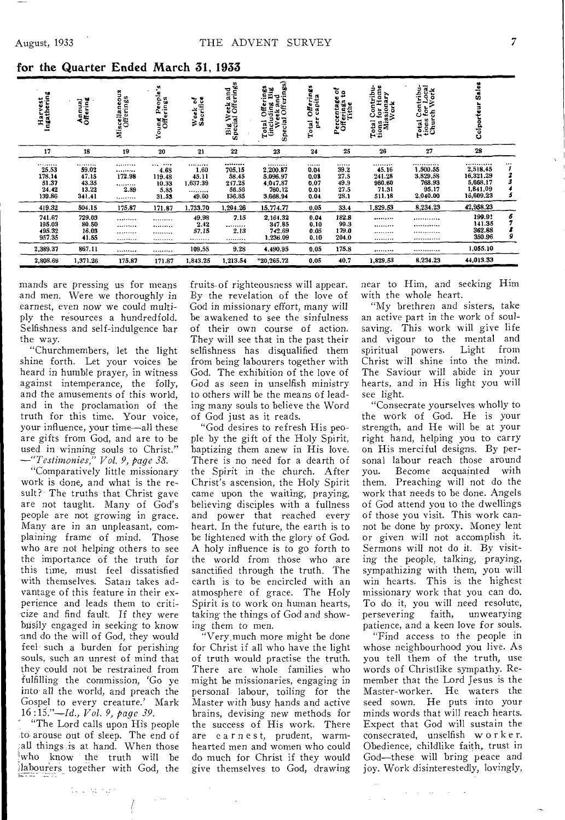| Harvest<br>Ingathering                          | Annual<br>Offering                             | neous<br>Miscellaneou<br>Offerings | People's<br>erings<br>Young<br>Offi              | Week of<br>Sacrifice                       | 'eek and<br>Offerings<br>Big We<br>Special       | Total Offerings<br>(including Big<br>Week and<br>Special Offerings) | n<br>w<br>Offering<br>capita<br>per<br>Total | ថ្ន<br>۰<br>Percentage<br>Offerings<br>Tithe<br>Ñ. | ă<br>$\bullet$<br>ontribu<br>Total Con<br>tions for Hom<br>Missionary<br>Work | Contribu-<br><i>tor Local</i><br>rch Work<br>Total Co<br>tions for<br>Church | <b>Sales</b><br>Ξ<br>Colport                                   |        |
|-------------------------------------------------|------------------------------------------------|------------------------------------|--------------------------------------------------|--------------------------------------------|--------------------------------------------------|---------------------------------------------------------------------|----------------------------------------------|----------------------------------------------------|-------------------------------------------------------------------------------|------------------------------------------------------------------------------|----------------------------------------------------------------|--------|
| 17                                              | 18                                             | 19                                 | 20                                               | 21                                         | 22                                               | 23                                                                  | 24                                           | 25                                                 | 26                                                                            | 27                                                                           | 28                                                             |        |
| <br>25.53<br>178.14<br>51.37<br>24.42<br>139.86 | <br>59.02<br>47.15<br>43.35<br>13.22<br>341.41 | <br><br>172.98<br><br>2.89<br>     | <br><br>4.68<br>119.48<br>10.33<br>5.85<br>31.53 | <br>1.60<br>45.11<br>1,637.39<br><br>49.60 | <br>705.15<br>58.45<br>247.25<br>56.56<br>136.85 | <br>2,200.87<br>5.096.97<br>4,047.87<br>760.12<br>3,668.94          | <br>0.04<br>0.03<br>0.07<br>0.01<br>0.04     | <br>39.2<br>27.5<br>49.9<br>27.5<br>28.1           | <br>45.16<br>241.28<br>960.60<br>71.31<br>511.18                              | <br>1,500.55<br>3.829.58<br>768.93<br>95.17<br>2.040.00                      | <br>2,518.45<br>16,321.29<br>5,668.17<br>1,841,09<br>16,609.23 |        |
| 419.32                                          | 504.15                                         | 175.87                             | 171.87                                           | 1.733.70                                   | 1.204.26                                         | 15,774.77                                                           | 0.05                                         | 33.4                                               | 1,829,53                                                                      | 8,234.23                                                                     | 42,958.23                                                      |        |
| 741.67<br>195.03<br>495.32<br>957.35            | 729.03<br>80.50<br>16.03<br>41.55              | <br><br><br>                       | <br><br><br>                                     | 49.98<br>2.42<br>57,15<br>                 | 7.15<br><br>2.13<br>                             | 2,164.32<br>347.85<br>742.69<br>1,236 09                            | 0.04<br>0.10<br>0.05<br>0.10                 | 182.8<br>99.3<br>179.0<br>204.0                    | <br><br><br>                                                                  | <br><br><br>                                                                 | 199.91<br>141.35<br>362.88<br>350.96                           | 6<br>9 |
| 2,389.37                                        | 867.11                                         |                                    |                                                  | 109,55                                     | 9.28                                             | 4,490.95                                                            | 0,05                                         | 175.8                                              |                                                                               |                                                                              | 1,055.10                                                       |        |
| 2,808.69                                        | 1,371.26                                       | 175,87                             | 171.87                                           | 1,843.25                                   | 1,213.54                                         | $*20,265.72$                                                        | 0.05                                         | 40.7                                               | 1.829.53                                                                      | 8,234.23                                                                     | 44,013.33                                                      |        |

for the Quarter Ended March 31, 1933

mands are pressing us for means and men. Were we thoroughly in earnest, even now we could multiply the resources a hundredfold. Selfishness and self-indulgence bar the way.

"Churchmembers, let the light shine forth. Let your voices be heard in humble prayer, in witness against intemperance, the folly, and the amusements of this world. and in the proclamation of the truth for this time. Your voice, your influence, your time-all these are gifts from God, and are to be used in winning souls to Christ.'<br>-"Testimonies," Vol. 9, page 38.

"Comparatively little missionary work is done, and what is the result? The truths that Christ gave are not taught. Many of God's people are not growing in grace. Many are in an unpleasant, complaining frame of mind. Those who are not helping others to see the importance of the truth for this time, must feel dissatisfied with themselves. Satan takes advantage of this feature in their experience and leads them to criticize and find fault. If they were busily engaged in seeking to know and do the will of God, they would feel such a burden for perishing souls, such an unrest of mind that they could not be restrained from fulfilling the commission, 'Go ye into all the world, and preach the Gospel to every creature.' Mark  $16:15.$ "-Id., Vol. 9, page 39.

"The Lord calls upon His people to arouse out of sleep. The end of all things is at hand. When those who know the truth will be labourers together with God, the

tu cilia kan

fruits of righteousness will appear. By the revelation of the love of God in missionary effort, many will be awakened to see the sinfulness of their own course of action. They will see that in the past their selfishness has disqualified them from being labourers together with God. The exhibition of the love of God as seen in unselfish ministry to others will be the means of leading many souls to believe the Word of God just as it reads.

"God desires to refresh His people by the gift of the Holy Spirit, baptizing them anew in His love. There is no need for a dearth of the Spirit in the church. After Christ's ascension, the Holy Spirit came upon the waiting, praying, believing disciples with a fullness and power that reached every heart. In the future, the earth is to be lightened with the glory of God. A holy influence is to go forth to the world from those who are sanctified through the truth. The earth is to be encircled with an atmosphere of grace. The Holy Spirit is to work on human hearts, taking the things of God and showing them to men.

"Very much more might be done for Christ if all who have the light of truth would practise the truth. There are whole families who might be missionaries, engaging in personal labour, toiling for the Master with busy hands and active brains, devising new methods for the success of His work. There are earnest, prudent, warmhearted men and women who could do much for Christ if they would give themselves to God, drawing near to Him, and seeking Him with the whole heart.

"My brethren and sisters, take an active part in the work of soulsaving. This work will give life and vigour to the mental and spiritual powers. Light from Christ will shine into the mind. The Saviour will abide in your hearts, and in His light you will see light.

"Consecrate yourselves wholly to the work of God. He is your strength, and He will be at your right hand, helping you to carry on His merciful designs. By personal labour reach those around Become acquainted with vou. them. Preaching will not do the work that needs to be done. Angels of God attend you to the dwellings of those you visit. This work cannot be done by proxy. Money lent or given will not accomplish it. Sermons will not do it. By visiting the people, talking, praying, sympathizing with them, you will win hearts. This is the highest missionary work that you can do. To do it, you will need resolute, persevering faith, unwearying patience, and a keen love for souls.

"Find access to the people in whose neighbourhood you live. As you tell them of the truth, use words of Christlike sympathy. Remember that the Lord Jesus is the Master-worker. He waters the seed sown. He puts into your minds words that will reach hearts. Expect that God will sustain the consecrated, unselfish worker. Obedience, childlike faith, trust in God-these will bring peace and joy. Work disinterestedly, lovingly,

 $\mathcal{A}=\mathcal{A}=\{a_1,\ldots,a_n\}$  .  $\mathcal{A}$